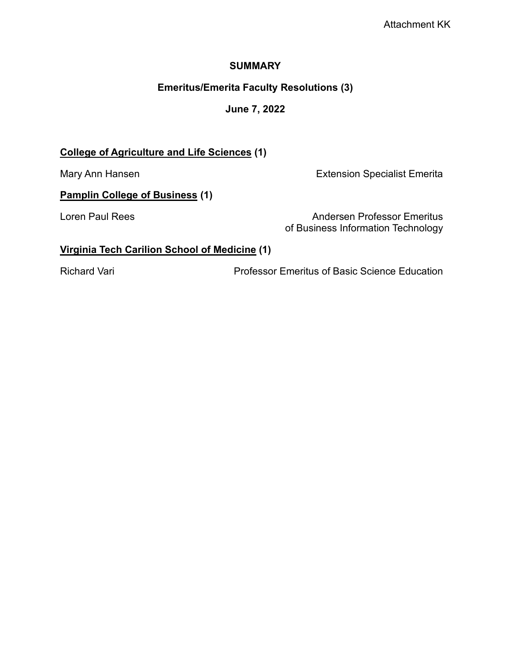#### **SUMMARY**

# **Emeritus/Emerita Faculty Resolutions (3)**

# **June 7, 2022**

# **College of Agriculture and Life Sciences (1)**

Mary Ann Hansen **Extension Specialist Emerita** 

# **Pamplin College of Business (1)**

Loren Paul Rees Andersen Professor Emeritus of Business Information Technology

# **Virginia Tech Carilion School of Medicine (1)**

Richard Vari Professor Emeritus of Basic Science Education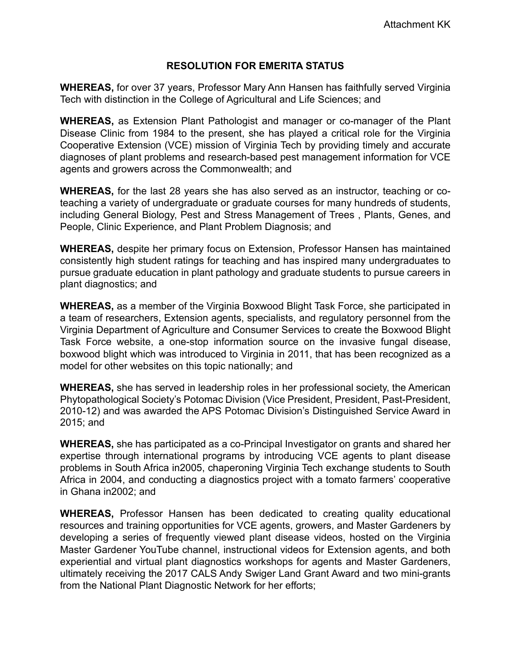### **RESOLUTION FOR EMERITA STATUS**

**WHEREAS,** for over 37 years, Professor Mary Ann Hansen has faithfully served Virginia Tech with distinction in the College of Agricultural and Life Sciences; and

**WHEREAS,** as Extension Plant Pathologist and manager or co-manager of the Plant Disease Clinic from 1984 to the present, she has played a critical role for the Virginia Cooperative Extension (VCE) mission of Virginia Tech by providing timely and accurate diagnoses of plant problems and research-based pest management information for VCE agents and growers across the Commonwealth; and

**WHEREAS,** for the last 28 years she has also served as an instructor, teaching or coteaching a variety of undergraduate or graduate courses for many hundreds of students, including General Biology, Pest and Stress Management of Trees , Plants, Genes, and People, Clinic Experience, and Plant Problem Diagnosis; and

**WHEREAS,** despite her primary focus on Extension, Professor Hansen has maintained consistently high student ratings for teaching and has inspired many undergraduates to pursue graduate education in plant pathology and graduate students to pursue careers in plant diagnostics; and

**WHEREAS,** as a member of the Virginia Boxwood Blight Task Force, she participated in a team of researchers, Extension agents, specialists, and regulatory personnel from the Virginia Department of Agriculture and Consumer Services to create the Boxwood Blight Task Force website, a one-stop information source on the invasive fungal disease, boxwood blight which was introduced to Virginia in 2011, that has been recognized as a model for other websites on this topic nationally; and

**WHEREAS,** she has served in leadership roles in her professional society, the American Phytopathological Society's Potomac Division (Vice President, President, Past-President, 2010-12) and was awarded the APS Potomac Division's Distinguished Service Award in 2015; and

**WHEREAS,** she has participated as a co-Principal Investigator on grants and shared her expertise through international programs by introducing VCE agents to plant disease problems in South Africa in2005, chaperoning Virginia Tech exchange students to South Africa in 2004, and conducting a diagnostics project with a tomato farmers' cooperative in Ghana in2002; and

**WHEREAS,** Professor Hansen has been dedicated to creating quality educational resources and training opportunities for VCE agents, growers, and Master Gardeners by developing a series of frequently viewed plant disease videos, hosted on the Virginia Master Gardener YouTube channel, instructional videos for Extension agents, and both experiential and virtual plant diagnostics workshops for agents and Master Gardeners, ultimately receiving the 2017 CALS Andy Swiger Land Grant Award and two mini-grants from the National Plant Diagnostic Network for her efforts;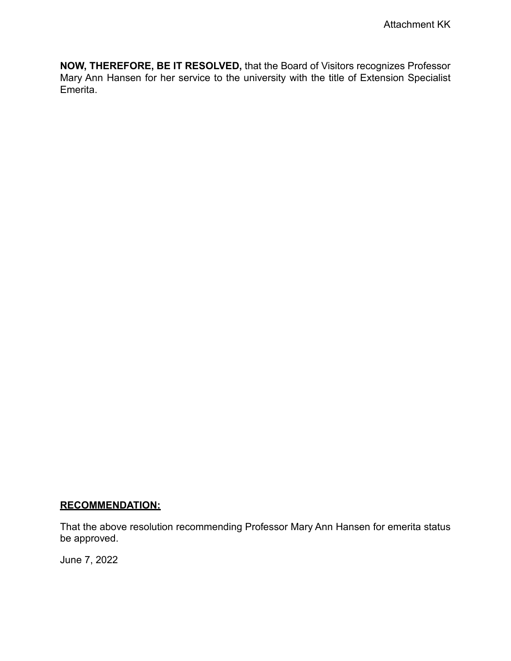**NOW, THEREFORE, BE IT RESOLVED,** that the Board of Visitors recognizes Professor Mary Ann Hansen for her service to the university with the title of Extension Specialist Emerita.

# **RECOMMENDATION:**

That the above resolution recommending Professor Mary Ann Hansen for emerita status be approved.

June 7, 2022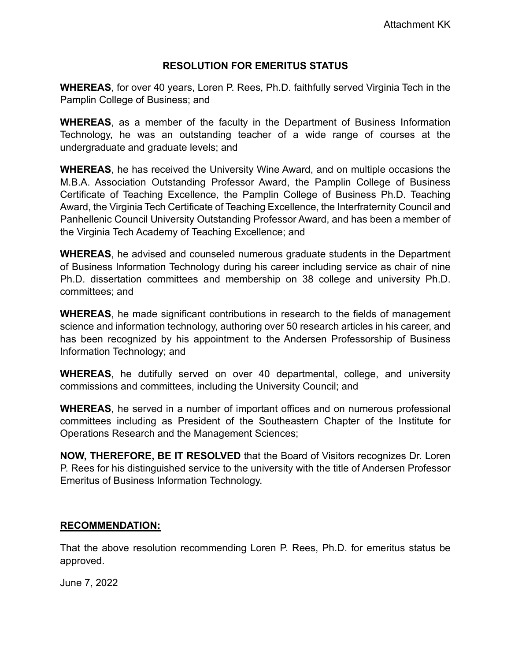### **RESOLUTION FOR EMERITUS STATUS**

**WHEREAS**, for over 40 years, Loren P. Rees, Ph.D. faithfully served Virginia Tech in the Pamplin College of Business; and

**WHEREAS**, as a member of the faculty in the Department of Business Information Technology, he was an outstanding teacher of a wide range of courses at the undergraduate and graduate levels; and

**WHEREAS**, he has received the University Wine Award, and on multiple occasions the M.B.A. Association Outstanding Professor Award, the Pamplin College of Business Certificate of Teaching Excellence, the Pamplin College of Business Ph.D. Teaching Award, the Virginia Tech Certificate of Teaching Excellence, the Interfraternity Council and Panhellenic Council University Outstanding Professor Award, and has been a member of the Virginia Tech Academy of Teaching Excellence; and

**WHEREAS**, he advised and counseled numerous graduate students in the Department of Business Information Technology during his career including service as chair of nine Ph.D. dissertation committees and membership on 38 college and university Ph.D. committees; and

**WHEREAS**, he made significant contributions in research to the fields of management science and information technology, authoring over 50 research articles in his career, and has been recognized by his appointment to the Andersen Professorship of Business Information Technology; and

**WHEREAS**, he dutifully served on over 40 departmental, college, and university commissions and committees, including the University Council; and

**WHEREAS**, he served in a number of important offices and on numerous professional committees including as President of the Southeastern Chapter of the Institute for Operations Research and the Management Sciences;

**NOW, THEREFORE, BE IT RESOLVED** that the Board of Visitors recognizes Dr. Loren P. Rees for his distinguished service to the university with the title of Andersen Professor Emeritus of Business Information Technology.

### **RECOMMENDATION:**

That the above resolution recommending Loren P. Rees, Ph.D. for emeritus status be approved.

June 7, 2022